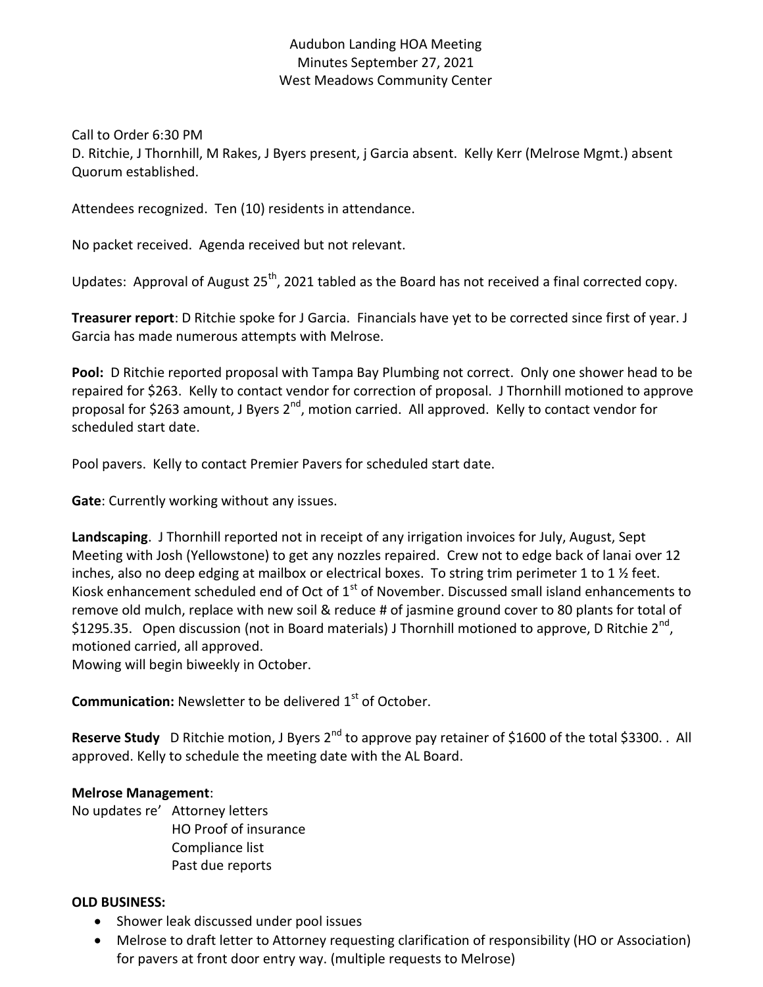## Audubon Landing HOA Meeting Minutes September 27, 2021 West Meadows Community Center

Call to Order 6:30 PM

D. Ritchie, J Thornhill, M Rakes, J Byers present, j Garcia absent. Kelly Kerr (Melrose Mgmt.) absent Quorum established.

Attendees recognized. Ten (10) residents in attendance.

No packet received. Agenda received but not relevant.

Updates: Approval of August  $25<sup>th</sup>$ , 2021 tabled as the Board has not received a final corrected copy.

**Treasurer report**: D Ritchie spoke for J Garcia. Financials have yet to be corrected since first of year. J Garcia has made numerous attempts with Melrose.

**Pool:** D Ritchie reported proposal with Tampa Bay Plumbing not correct. Only one shower head to be repaired for \$263. Kelly to contact vendor for correction of proposal. J Thornhill motioned to approve proposal for \$263 amount, J Byers 2<sup>nd</sup>, motion carried. All approved. Kelly to contact vendor for scheduled start date.

Pool pavers. Kelly to contact Premier Pavers for scheduled start date.

**Gate**: Currently working without any issues.

**Landscaping**. J Thornhill reported not in receipt of any irrigation invoices for July, August, Sept Meeting with Josh (Yellowstone) to get any nozzles repaired. Crew not to edge back of lanai over 12 inches, also no deep edging at mailbox or electrical boxes. To string trim perimeter 1 to 1  $\frac{1}{2}$  feet. Kiosk enhancement scheduled end of Oct of  $1<sup>st</sup>$  of November. Discussed small island enhancements to remove old mulch, replace with new soil & reduce # of jasmine ground cover to 80 plants for total of \$1295.35. Open discussion (not in Board materials) J Thornhill motioned to approve, D Ritchie 2<sup>nd</sup>, motioned carried, all approved.

Mowing will begin biweekly in October.

**Communication:** Newsletter to be delivered 1<sup>st</sup> of October.

Reserve Study D Ritchie motion, J Byers 2<sup>nd</sup> to approve pay retainer of \$1600 of the total \$3300. . All approved. Kelly to schedule the meeting date with the AL Board.

## **Melrose Management**:

No updates re' Attorney letters HO Proof of insurance Compliance list Past due reports

## **OLD BUSINESS:**

- Shower leak discussed under pool issues
- Melrose to draft letter to Attorney requesting clarification of responsibility (HO or Association) for pavers at front door entry way. (multiple requests to Melrose)